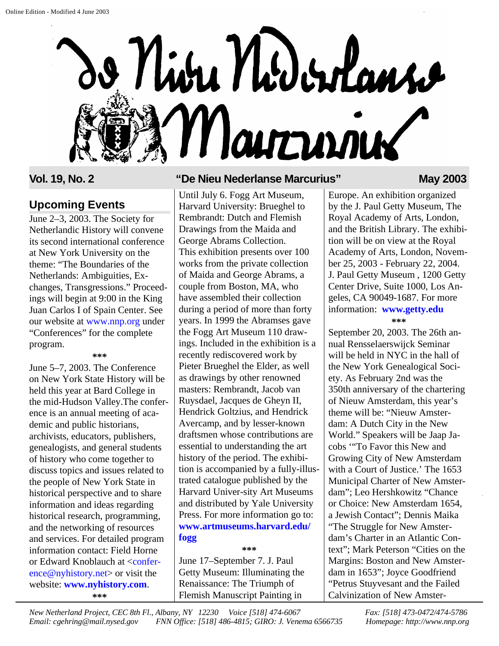

## **Upcoming Events**

June 2–3, 2003. The Society for Netherlandic History will convene its second international conference at New York University on the theme: "The Boundaries of the Netherlands: Ambiguities, Exchanges, Transgressions." Proceedings will begin at 9:00 in the King Juan Carlos I of Spain Center. See our website at [www.nnp.org](http://www.nnp.org/conferences) under "Conferences" for the complete program.

**\*\*\***

June 5–7, 2003. The Conference on New York State History will be held this year at Bard College in the mid-Hudson Valley.The conference is an annual meeting of academic and public historians, archivists, educators, publishers, genealogists, and general students of history who come together to discuss topics and issues related to the people of New York State in historical perspective and to share information and ideas regarding historical research, programming, and the networking of resources and services. For detailed program information contact: Field Horne or Edward Knoblauch at <confer[ence@nyhistory.net> or](mailto:conference@nyhistory.net) visit the website: **[www.nyhistory.com](http://www.nyhistory.com)**. **\*\*\***

#### **Vol. 19, No. 2 "De Nieu Nederlanse Marcurius" May 2003**

Until July 6. Fogg Art Museum, Harvard University: Brueghel to Rembrandt: Dutch and Flemish Drawings from the Maida and George Abrams Collection. This exhibition presents over 100 works from the private collection of Maida and George Abrams, a couple from Boston, MA, who have assembled their collection during a period of more than forty years. In 1999 the Abramses gave the Fogg Art Museum 110 drawings. Included in the exhibition is a recently rediscovered work by Pieter Brueghel the Elder, as well as drawings by other renowned masters: Rembrandt, Jacob van Ruysdael, Jacques de Gheyn II, Hendrick Goltzius, and Hendrick Avercamp, and by lesser-known draftsmen whose contributions are essential to understanding the art history of the period. The exhibition is accompanied by a fully-illustrated catalogue published by the Harvard Univer-sity Art Museums and distributed by Yale University Press. For more information go to: **[www.artmuseums.harvard.edu/](http://www.artmuseums.harvard.edu/fogg) fogg**

#### **\*\*\***

June 17–September 7. J. Paul Getty Museum: Illuminating the Renaissance: The Triumph of Flemish Manuscript Painting in

Europe. An exhibition organized by the J. Paul Getty Museum, The Royal Academy of Arts, London, and the British Library. The exhibition will be on view at the Royal Academy of Arts, London, November 25, 2003 - February 22, 2004. J. Paul Getty Museum , 1200 Getty Center Drive, Suite 1000, Los Angeles, CA 90049-1687. For more information: **[www.getty.edu](http://www.getty.edu)**

**\*\*\***

September 20, 2003. The 26th annual Rensselaerswijck Seminar will be held in NYC in the hall of the New York Genealogical Society. As February 2nd was the 350th anniversary of the chartering of Nieuw Amsterdam, this year's theme will be: "Nieuw Amsterdam: A Dutch City in the New World." Speakers will be Jaap Jacobs '"To Favor this New and Growing City of New Amsterdam with a Court of Justice.' The 1653 Municipal Charter of New Amsterdam"; Leo Hershkowitz "Chance or Choice: New Amsterdam 1654, a Jewish Contact"; Dennis Maika "The Struggle for New Amsterdam's Charter in an Atlantic Context"; Mark Peterson "Cities on the Margins: Boston and New Amsterdam in 1653"; Joyce Goodfriend "Petrus Stuyvesant and the Failed Calvinization of New Amster-

*New Netherland Project, CEC 8th Fl., Albany, NY 12230 Voice [518] 474-6067 Fax: [518] 473-0472/474-5786 Email: cgehring@mail.nysed.gov FNN Office: [518] 486-4815; GIRO: J. Venema 6566735 Homepage: http://www.nnp.org*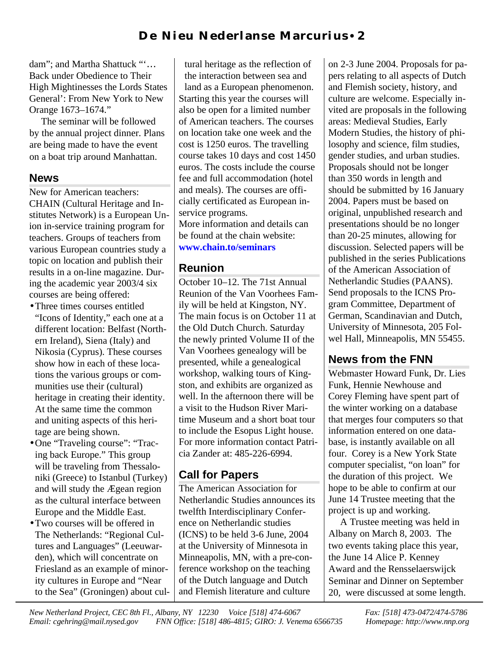dam"; and Martha Shattuck "'… Back under Obedience to Their High Mightinesses the Lords States General': From New York to New Orange 1673–1674."

The seminar will be followed by the annual project dinner. Plans are being made to have the event on a boat trip around Manhattan.

## **News**

New for American teachers: CHAIN (Cultural Heritage and Institutes Network) is a European Union in-service training program for teachers. Groups of teachers from various European countries study a topic on location and publish their results in a on-line magazine. During the academic year 2003/4 six courses are being offered:

- •Three times courses entitled "Icons of Identity," each one at a different location: Belfast (Northern Ireland), Siena (Italy) and Nikosia (Cyprus). These courses show how in each of these locations the various groups or communities use their (cultural) heritage in creating their identity. At the same time the common and uniting aspects of this heritage are being shown.
- •One "Traveling course": "Tracing back Europe." This group will be traveling from Thessaloniki (Greece) to Istanbul (Turkey) and will study the Ægean region as the cultural interface between Europe and the Middle East.
- •Two courses will be offered in The Netherlands: "Regional Cultures and Languages" (Leeuwarden), which will concentrate on Friesland as an example of minority cultures in Europe and "Near to the Sea" (Groningen) about cul-

tural heritage as the reflection of the interaction between sea and land as a European phenomenon. Starting this year the courses will also be open for a limited number of American teachers. The courses on location take one week and the cost is 1250 euros. The travelling course takes 10 days and cost 1450 euros. The costs include the course fee and full accommodation (hotel and meals). The courses are officially certificated as European inservice programs. More information and details can

be found at the chain website: **[www.chain.to/seminars](http://www.chain.to/seminars)**

# **Reunion**

October 10–12. The 71st Annual Reunion of the Van Voorhees Family will be held at Kingston, NY. The main focus is on October 11 at the Old Dutch Church. Saturday the newly printed Volume II of the Van Voorhees genealogy will be presented, while a genealogical workshop, walking tours of Kingston, and exhibits are organized as well. In the afternoon there will be a visit to the Hudson River Maritime Museum and a short boat tour to include the Esopus Light house. For more information contact Patricia Zander at: 485-226-6994.

# **Call for Papers**

The American Association for Netherlandic Studies announces its twelfth Interdisciplinary Conference on Netherlandic studies (ICNS) to be held 3-6 June, 2004 at the University of Minnesota in Minneapolis, MN, with a pre-conference workshop on the teaching of the Dutch language and Dutch and Flemish literature and culture

on 2-3 June 2004. Proposals for papers relating to all aspects of Dutch and Flemish society, history, and culture are welcome. Especially invited are proposals in the following areas: Medieval Studies, Early Modern Studies, the history of philosophy and science, film studies, gender studies, and urban studies. Proposals should not be longer than 350 words in length and should be submitted by 16 January 2004. Papers must be based on original, unpublished research and presentations should be no longer than 20-25 minutes, allowing for discussion. Selected papers will be published in the series Publications of the American Association of Netherlandic Studies (PAANS). Send proposals to the ICNS Program Committee, Department of German, Scandinavian and Dutch, University of Minnesota, 205 Folwel Hall, Minneapolis, MN 55455.

# **News from the FNN**

Webmaster Howard Funk, Dr. Lies Funk, Hennie Newhouse and Corey Fleming have spent part of the winter working on a database that merges four computers so that information entered on one database, is instantly available on all four. Corey is a New York State computer specialist, "on loan" for the duration of this project. We hope to be able to confirm at our June 14 Trustee meeting that the project is up and working.

A Trustee meeting was held in Albany on March 8, 2003. The two events taking place this year, the June 14 Alice P. Kenney Award and the Rensselaerswijck Seminar and Dinner on September 20, were discussed at some length.

*New Netherland Project, CEC 8th Fl., Albany, NY 12230 Voice [518] 474-6067 Fax: [518] 473-0472/474-5786 Email: cgehring@mail.nysed.gov FNN Office: [518] 486-4815; GIRO: J. Venema 6566735 Homepage: http://www.nnp.org*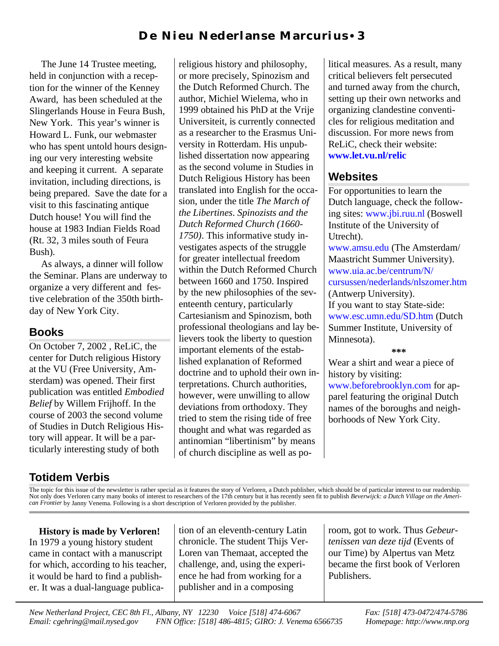The June 14 Trustee meeting, held in conjunction with a reception for the winner of the Kenney Award, has been scheduled at the Slingerlands House in Feura Bush, New York. This year's winner is Howard L. Funk, our webmaster who has spent untold hours designing our very interesting website and keeping it current. A separate invitation, including directions, is being prepared. Save the date for a visit to this fascinating antique Dutch house! You will find the house at 1983 Indian Fields Road (Rt. 32, 3 miles south of Feura Bush).

As always, a dinner will follow the Seminar. Plans are underway to organize a very different and festive celebration of the 350th birthday of New York City.

# **Books**

On October 7, 2002 , ReLiC, the center for Dutch religious History at the VU (Free University, Amsterdam) was opened. Their first publication was entitled *Embodied Belief* by Willem Frijhoff. In the course of 2003 the second volume of Studies in Dutch Religious History will appear. It will be a particularly interesting study of both

religious history and philosophy, or more precisely, Spinozism and the Dutch Reformed Church. The author, Michiel Wielema, who in 1999 obtained his PhD at the Vrije Universiteit, is currently connected as a researcher to the Erasmus University in Rotterdam. His unpublished dissertation now appearing as the second volume in Studies in Dutch Religious History has been translated into English for the occasion, under the title *The March of the Libertines*. *Spinozists and the Dutch Reformed Church (1660- 1750)*. This informative study investigates aspects of the struggle for greater intellectual freedom within the Dutch Reformed Church between 1660 and 1750. Inspired by the new philosophies of the seventeenth century, particularly Cartesianism and Spinozism, both professional theologians and lay believers took the liberty to question important elements of the established explanation of Reformed doctrine and to uphold their own interpretations. Church authorities, however, were unwilling to allow deviations from orthodoxy. They tried to stem the rising tide of free thought and what was regarded as antinomian "libertinism" by means of church discipline as well as political measures. As a result, many critical believers felt persecuted and turned away from the church, setting up their own networks and organizing clandestine conventicles for religious meditation and discussion. For more news from ReLiC, check their website: **[www.let.vu.nl/relic](http://www.let.vu.nl/relic)**

# **Websites**

For opportunities to learn the Dutch language, check the following sites: [www.jbi.ruu.nl](http://www.jbi.ruu.nl) (Boswell Institute of the University of Utrecht). [www.amsu.edu](http://www.amsu.edu) (The Amsterdam/ Maastricht Summer University). www.uia.ac.be/centrum/N/ [cursussen/nederlands/nlszomer.htm](http://www.uia.ac.be/centrum/N/cursussen/nederlands/nlszomer.htm) (Antwerp University). If you want to stay State-side:

[www.esc.umn.edu/SD.htm](http://www.esc.umn.edu/SD.htm) (Dutch Summer Institute, University of Minnesota).

**\*\*\***

Wear a shirt and wear a piece of history by visiting: [www.beforebrooklyn.com](http://www.beforebrooklyn.com) for apparel featuring the original Dutch names of the boroughs and neighborhoods of New York City.

# **Totidem Verbis**

The topic for this issue of the newsletter is rather special as it features the story of Verloren, a Dutch publisher, which should be of particular interest to our readership. Not only does Verloren carry many books of interest to researchers of the 17th century but it has recently seen fit to publish *Beverwijck: a Dutch Village on the American Frontier* by Janny Venema. Following is a short description of Verloren provided by the publisher.

**History is made by Verloren!** In 1979 a young history student came in contact with a manuscript for which, according to his teacher, it would be hard to find a publisher. It was a dual-language publication of an eleventh-century Latin chronicle. The student Thijs Ver-Loren van Themaat, accepted the challenge, and, using the experience he had from working for a publisher and in a composing

room, got to work. Thus *Gebeurtenissen van deze tijd* (Events of our Time) by Alpertus van Metz became the first book of Verloren Publishers.

*New Netherland Project, CEC 8th Fl., Albany, NY 12230 Voice [518] 474-6067 Fax: [518] 473-0472/474-5786 Email: cgehring@mail.nysed.gov FNN Office: [518] 486-4815; GIRO: J. Venema 6566735 Homepage: http://www.nnp.org*